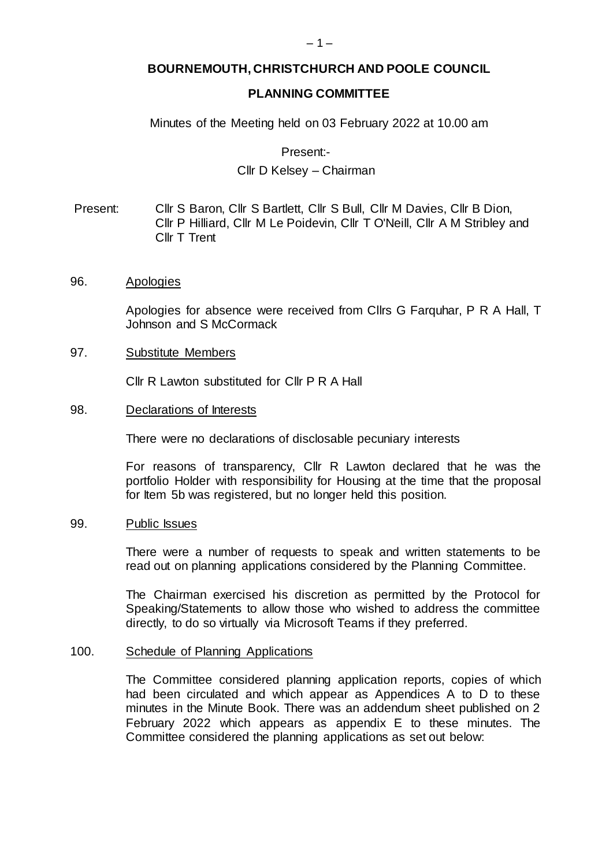# **BOURNEMOUTH, CHRISTCHURCH AND POOLE COUNCIL**

## **PLANNING COMMITTEE**

### Minutes of the Meeting held on 03 February 2022 at 10.00 am

Present:-

## Cllr D Kelsey – Chairman

Present: Cllr S Baron, Cllr S Bartlett, Cllr S Bull, Cllr M Davies, Cllr B Dion, Cllr P Hilliard, Cllr M Le Poidevin, Cllr T O'Neill, Cllr A M Stribley and Cllr T Trent

96. Apologies

Apologies for absence were received from Cllrs G Farquhar, P R A Hall, T Johnson and S McCormack

97. Substitute Members

Cllr R Lawton substituted for Cllr P R A Hall

98. Declarations of Interests

There were no declarations of disclosable pecuniary interests

For reasons of transparency, Cllr R Lawton declared that he was the portfolio Holder with responsibility for Housing at the time that the proposal for Item 5b was registered, but no longer held this position.

99. Public Issues

There were a number of requests to speak and written statements to be read out on planning applications considered by the Planning Committee.

The Chairman exercised his discretion as permitted by the Protocol for Speaking/Statements to allow those who wished to address the committee directly, to do so virtually via Microsoft Teams if they preferred.

#### 100. Schedule of Planning Applications

The Committee considered planning application reports, copies of which had been circulated and which appear as Appendices A to D to these minutes in the Minute Book. There was an addendum sheet published on 2 February 2022 which appears as appendix E to these minutes. The Committee considered the planning applications as set out below: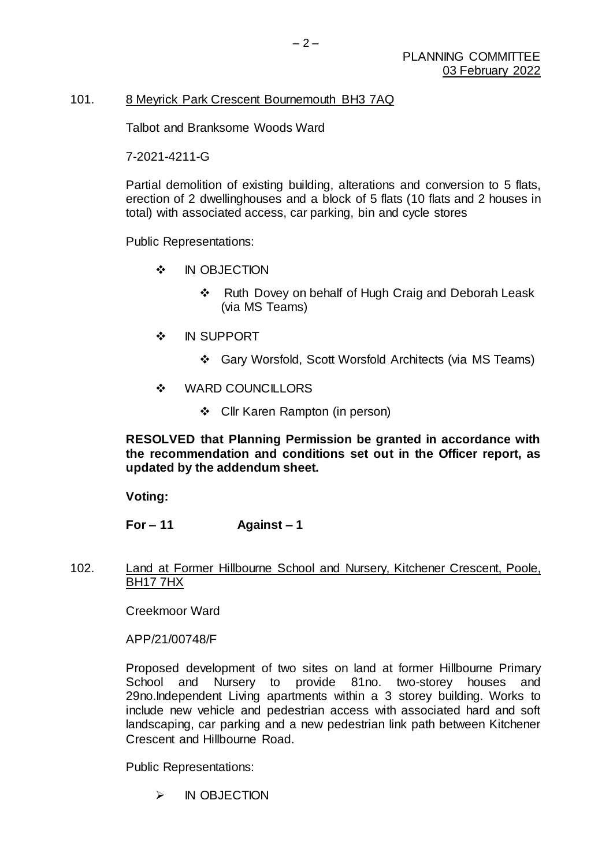# 101. 8 Meyrick Park Crescent Bournemouth BH3 7AQ

Talbot and Branksome Woods Ward

7-2021-4211-G

Partial demolition of existing building, alterations and conversion to 5 flats, erection of 2 dwellinghouses and a block of 5 flats (10 flats and 2 houses in total) with associated access, car parking, bin and cycle stores

Public Representations:

- $\cdot$  IN OBJECTION
	- ❖ Ruth Dovey on behalf of Hugh Craig and Deborah Leask (via MS Teams)
- $\cdot$  IN SUPPORT
	- Gary Worsfold, Scott Worsfold Architects (via MS Teams)
- ❖ WARD COUNCILLORS
	- Cllr Karen Rampton (in person)

**RESOLVED that Planning Permission be granted in accordance with the recommendation and conditions set out in the Officer report, as updated by the addendum sheet.**

**Voting:**

**For – 11 Against – 1**

102. Land at Former Hillbourne School and Nursery, Kitchener Crescent, Poole, BH17 7HX

Creekmoor Ward

APP/21/00748/F

Proposed development of two sites on land at former Hillbourne Primary School and Nursery to provide 81no. two-storey houses and 29no.Independent Living apartments within a 3 storey building. Works to include new vehicle and pedestrian access with associated hard and soft landscaping, car parking and a new pedestrian link path between Kitchener Crescent and Hillbourne Road.

Public Representations:

 $\triangleright$  IN OBJECTION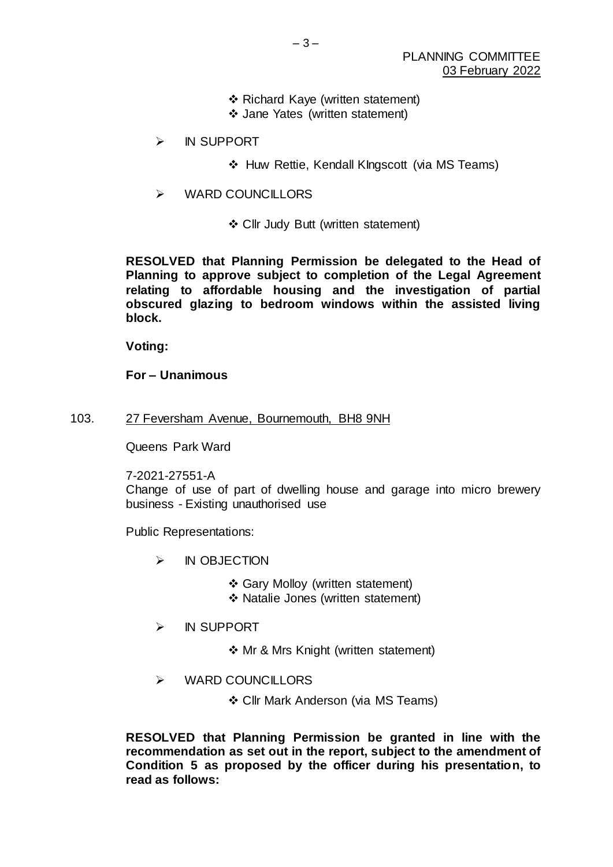- Richard Kaye (written statement)
- Jane Yates (written statement)
- > IN SUPPORT
	- ❖ Huw Rettie, Kendall KIngscott (via MS Teams)
- WARD COUNCILLORS
	- Cllr Judy Butt (written statement)

**RESOLVED that Planning Permission be delegated to the Head of Planning to approve subject to completion of the Legal Agreement relating to affordable housing and the investigation of partial obscured glazing to bedroom windows within the assisted living block.**

**Voting:**

**For – Unanimous**

103. 27 Feversham Avenue, Bournemouth, BH8 9NH

Queens Park Ward

7-2021-27551-A

Change of use of part of dwelling house and garage into micro brewery business - Existing unauthorised use

Public Representations:

- > IN OBJECTION
	- Gary Molloy (written statement)
	- ◆ Natalie Jones (written statement)
- > IN SUPPORT
	- ❖ Mr & Mrs Knight (written statement)
- WARD COUNCILLORS
	- Cllr Mark Anderson (via MS Teams)

**RESOLVED that Planning Permission be granted in line with the recommendation as set out in the report, subject to the amendment of Condition 5 as proposed by the officer during his presentation, to read as follows:**